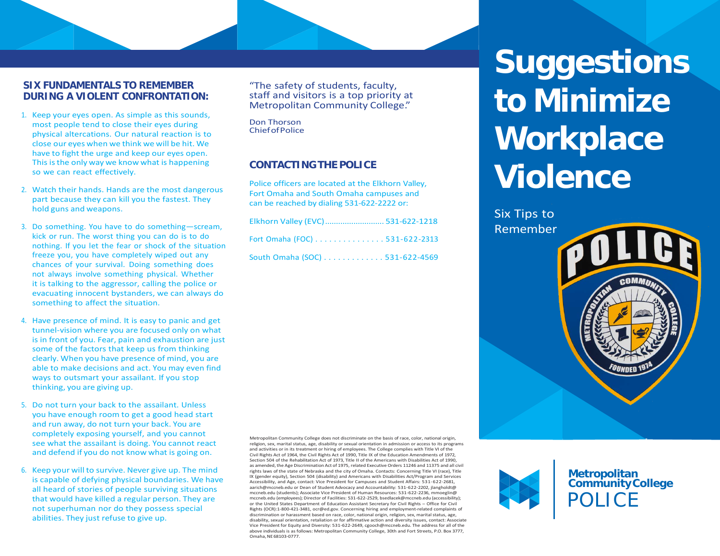#### **SIX FUNDAMENTALS TO REMEMBER DURING A VIOLENT CONFRONTATION:**

- 1. Keep your eyes open. As simple as this sounds, most people tend to close their eyes during physical altercations. Our natural reaction is to close our eyes when we think we will be hit. We have to fight the urge and keep our eyes open. This isthe only way we know what is happening so we can react effectively.
- 2. Watch their hands. Hands are the most dangerous part because they can kill you the fastest. They hold guns and weapons.
- 3. Do something. You have to do something—scream, kick or run. The worst thing you can do is to do nothing. If you let the fear or shock of the situation freeze you, you have completely wiped out any chances of your survival. Doing something does not always involve something physical. Whether it is talking to the aggressor, calling the police or evacuating innocent bystanders, we can always do something to affect the situation.
- 4. Have presence of mind. It is easy to panic and get tunnel-vision where you are focused only on what is in front of you. Fear, pain and exhaustion are just some of the factors that keep us from thinking clearly. When you have presence of mind, you are able to make decisions and act. You may even find ways to outsmart your assailant. If you stop thinking, you are giving up.
- 5. Do not turn your back to the assailant. Unless you have enough room to get a good head start and run away, do not turn your back. You are completely exposing yourself, and you cannot see what the assailant is doing. You cannot react and defend if you do not know what is going on.
- 6. Keep your will to survive. Never give up. The mind is capable of defying physical boundaries. We have all heard of stories of people surviving situations that would have killed a regular person. They are not superhuman nor do they possess special abilities. They just refuse to give up.

"The safety of students, faculty, staff and visitors is <sup>a</sup> top priority at Metropolitan Community College."

Don Thorson ChiefofPolice

### **CONTACTINGTHE POLICE**

Police officers are located at the Elkhorn Valley, Fort Omaha and South Omaha campuses and can be reached by dialing 531-622-2222 or:

| Elkhorn Valley (EVC) 531-622-1218 |  |
|-----------------------------------|--|
| Fort Omaha (FOC) 531-622-2313     |  |
| South Omaha (SOC) 531-622-4569    |  |

Metropolitan Community College does not discriminate on the basis of race, color, national origin, religion, sex, marital status, age, disability or sexual orientation in admission or access to its programs and activities or in its treatment or hiring of employees. The College complies with Title VI of the Civil Rights Act of 1964, the Civil Rights Act of 1990, Title IX of the Education Amendments of 1972, Section 504 of the Rehabilitation Act of 1973. Title II of the Americans with Disabilities Act of 1990. as amended, the Age Discrimination Act of 1975, related Executive Orders 11246 and 11375 and all civil rights laws of the state of Nebraska and the city of Omaha. Contacts: Concerning Title VI (race), Title IX (gender equity), Section 504 (disability) and Americans with Disabilities Act/Program and Services Accessibility, and Age, contact: Vice President for Campuses and Student Affairs: 531-622-2681, [aarich@mccneb.edu](mailto:aarich@mccneb.edu) or Dean of Student Advocacy and Accountability: 531-622-2202, jlangholdt@ mccneb.edu (students); Associate Vice President of Human Resources: 531-622-2236, mmoeglin@ mccneb.edu (employees); Director of Facilities: 531-622-2529, [bsedlacek@mccneb.edu](mailto:bsedlacek@mccneb.edu) (accessibility); or the United States Department of Education Assistant Secretary for Civil Rights – Office for Civil Rights (OCR):1-800-421-3481, [ocr@ed.gov.](mailto:ocr@ed.gov) Concerning hiring and employment-related complaints of discrimination or harassment based on race, color, national origin, religion, sex, marital status, age, disability, sexual orientation, retaliation or for affirmative action and diversity issues, contact: Associate Vice President for Equity and Diversity: 531-622-2649, [cgooch@mccneb.edu.](mailto:cgooch@mccneb.edu) The address for all of the above individuals is as follows: Metropolitan Community College, 30th and Fort Streets, P.O. Box 3777, Omaha,NE68103-0777.

**Suggestions to Minimize Workplace Violence**

Six Tips to Remember

**Metropolitan CommunityCollege**

POLICE